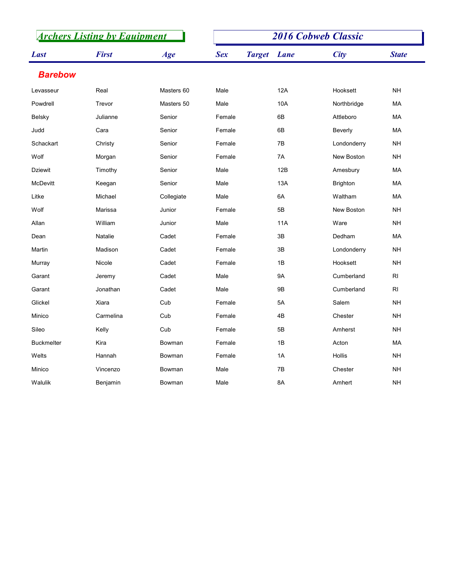|                | <b>Archers Listing by Equipment</b> |            | <b>2016 Cobweb Classic</b> |                    |                 |                 |  |
|----------------|-------------------------------------|------------|----------------------------|--------------------|-----------------|-----------------|--|
| <b>Last</b>    | <b>First</b>                        | Age        | <b>Sex</b>                 | <b>Target</b> Lane | City            | <b>State</b>    |  |
| <b>Barebow</b> |                                     |            |                            |                    |                 |                 |  |
| Levasseur      | Real                                | Masters 60 | Male                       | 12A                | Hooksett        | <b>NH</b>       |  |
| Powdrell       | Trevor                              | Masters 50 | Male                       | 10A                | Northbridge     | MA              |  |
| Belsky         | Julianne                            | Senior     | Female                     | 6B                 | Attleboro       | МA              |  |
| Judd           | Cara                                | Senior     | Female                     | 6B                 | Beverly         | MA              |  |
| Schackart      | Christy                             | Senior     | Female                     | 7B                 | Londonderry     | <b>NH</b>       |  |
| Wolf           | Morgan                              | Senior     | Female                     | 7A                 | New Boston      | <b>NH</b>       |  |
| <b>Dziewit</b> | Timothy                             | Senior     | Male                       | 12B                | Amesbury        | МA              |  |
| McDevitt       | Keegan                              | Senior     | Male                       | 13A                | <b>Brighton</b> | МA              |  |
| Litke          | Michael                             | Collegiate | Male                       | 6A                 | Waltham         | MA              |  |
| Wolf           | Marissa                             | Junior     | Female                     | $5\mathsf{B}$      | New Boston      | $\mathsf{NH}\,$ |  |
| Allan          | William                             | Junior     | Male                       | <b>11A</b>         | Ware            | $\mathsf{NH}\,$ |  |
| Dean           | Natalie                             | Cadet      | Female                     | $3\mathsf{B}$      | Dedham          | MA              |  |
| Martin         | Madison                             | Cadet      | Female                     | $3\mathsf{B}$      | Londonderry     | $\mathsf{NH}\,$ |  |
| Murray         | Nicole                              | Cadet      | Female                     | 1B                 | Hooksett        | $\mathsf{NH}\,$ |  |
| Garant         | Jeremy                              | Cadet      | Male                       | <b>9A</b>          | Cumberland      | RI              |  |
| Garant         | Jonathan                            | Cadet      | Male                       | <b>9B</b>          | Cumberland      | RI              |  |
| Glickel        | Xiara                               | Cub        | Female                     | 5A                 | Salem           | $\mathsf{NH}\,$ |  |
| Minico         | Carmelina                           | Cub        | Female                     | 4B                 | Chester         | $\mathsf{NH}\,$ |  |
| Sileo          | Kelly                               | Cub        | Female                     | $5\mathsf{B}$      | Amherst         | $\mathsf{NH}\,$ |  |
| Buckmelter     | Kira                                | Bowman     | Female                     | 1B                 | Acton           | MA              |  |
| Welts          | Hannah                              | Bowman     | Female                     | 1A                 | Hollis          | $\mathsf{NH}\,$ |  |
| Minico         | Vincenzo                            | Bowman     | Male                       | 7B                 | Chester         | <b>NH</b>       |  |
| Walulik        | Benjamin                            | Bowman     | Male                       | 8A                 | Amhert          | $\mathsf{NH}\,$ |  |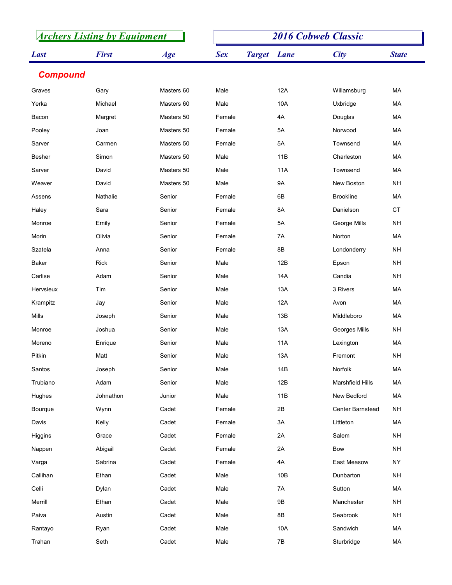| <b>Archers Listing by Equipment</b> |              |            | <b>2016 Cobweb Classic</b> |                              |                  |                        |  |
|-------------------------------------|--------------|------------|----------------------------|------------------------------|------------------|------------------------|--|
| <b>Last</b>                         | <b>First</b> | Age        | <b>Sex</b>                 | <b>Target</b><br><b>Lane</b> | <b>City</b>      | <b>State</b>           |  |
| <b>Compound</b>                     |              |            |                            |                              |                  |                        |  |
| Graves                              | Gary         | Masters 60 | Male                       | 12A                          | Willamsburg      | МA                     |  |
| Yerka                               | Michael      | Masters 60 | Male                       | 10A                          | Uxbridge         | МA                     |  |
| Bacon                               | Margret      | Masters 50 | Female                     | 4A                           | Douglas          | МA                     |  |
| Pooley                              | Joan         | Masters 50 | Female                     | 5A                           | Norwood          | MA                     |  |
| Sarver                              | Carmen       | Masters 50 | Female                     | 5A                           | Townsend         | МA                     |  |
| <b>Besher</b>                       | Simon        | Masters 50 | Male                       | 11B                          | Charleston       | МA                     |  |
| Sarver                              | David        | Masters 50 | Male                       | 11A                          | Townsend         | МA                     |  |
| Weaver                              | David        | Masters 50 | Male                       | 9A                           | New Boston       | <b>NH</b>              |  |
| Assens                              | Nathalie     | Senior     | Female                     | 6B                           | <b>Brookline</b> | MA                     |  |
| Haley                               | Sara         | Senior     | Female                     | 8A                           | Danielson        | $\mathsf{C}\mathsf{T}$ |  |
| Monroe                              | Emily        | Senior     | Female                     | 5A                           | George Mills     | <b>NH</b>              |  |
| Morin                               | Olivia       | Senior     | Female                     | 7A                           | Norton           | MA                     |  |
| Szatela                             | Anna         | Senior     | Female                     | 8B                           | Londonderry      | <b>NH</b>              |  |
| Baker                               | Rick         | Senior     | Male                       | 12B                          | Epson            | <b>NH</b>              |  |
| Carlise                             | Adam         | Senior     | Male                       | 14A                          | Candia           | $\mathsf{NH}\,$        |  |
| Hervsieux                           | Tim          | Senior     | Male                       | 13A                          | 3 Rivers         | MA                     |  |
| Krampitz                            | Jay          | Senior     | Male                       | 12A                          | Avon             | MA                     |  |
| Mills                               | Joseph       | Senior     | Male                       | 13B                          | Middleboro       | MA                     |  |
| Monroe                              | Joshua       | Senior     | Male                       | 13A                          | Georges Mills    | <b>NH</b>              |  |
| Moreno                              | Enrique      | Senior     | Male                       | 11A                          | Lexington        | MA                     |  |
| Pitkin                              | Matt         | Senior     | Male                       | 13A                          | Fremont          | <b>NH</b>              |  |
| Santos                              | Joseph       | Senior     | Male                       | 14B                          | Norfolk          | MA                     |  |
| Trubiano                            | Adam         | Senior     | Male                       | 12B                          | Marshfield Hills | MA                     |  |
| Hughes                              | Johnathon    | Junior     | Male                       | 11B                          | New Bedford      | MA                     |  |
| Bourque                             | Wynn         | Cadet      | Female                     | $2\mathsf{B}$                | Center Barnstead | <b>NH</b>              |  |
| Davis                               | Kelly        | Cadet      | Female                     | 3A                           | Littleton        | MA                     |  |
| Higgins                             | Grace        | Cadet      | Female                     | 2A                           | Salem            | $\mathsf{NH}\,$        |  |
| Nappen                              | Abigail      | Cadet      | Female                     | 2A                           | Bow              | <b>NH</b>              |  |
| Varga                               | Sabrina      | Cadet      | Female                     | 4A                           | East Measow      | <b>NY</b>              |  |
| Callihan                            | Ethan        | Cadet      | Male                       | 10B                          | Dunbarton        | <b>NH</b>              |  |
| Celli                               | Dylan        | Cadet      | Male                       | 7A                           | Sutton           | MA                     |  |
| Merrill                             | Ethan        | Cadet      | Male                       | $9\mathsf{B}$                | Manchester       | <b>NH</b>              |  |
| Paiva                               | Austin       | Cadet      | Male                       | 8B                           | Seabrook         | $\mathsf{NH}\,$        |  |
| Rantayo                             | Ryan         | Cadet      | Male                       | 10A                          | Sandwich         | MA                     |  |
| Trahan                              | Seth         | Cadet      | Male                       | $7\mathsf{B}$                | Sturbridge       | MA                     |  |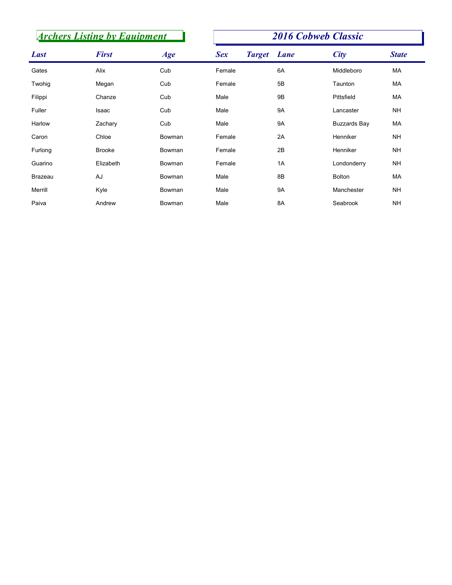|             | <b>Archers Listing by Equipment</b> |        |            | <b>2016 Cobweb Classic</b> |                     |                 |  |  |
|-------------|-------------------------------------|--------|------------|----------------------------|---------------------|-----------------|--|--|
| <b>Last</b> | <b>First</b>                        | Age    | <b>Sex</b> | <b>Target</b> Lane         | <b>City</b>         | <b>State</b>    |  |  |
| Gates       | Alix                                | Cub    | Female     | 6A                         | Middleboro          | МA              |  |  |
| Twohig      | Megan                               | Cub    | Female     | 5B                         | Taunton             | МA              |  |  |
| Filippi     | Chanze                              | Cub    | Male       | 9B                         | Pittsfield          | МA              |  |  |
| Fuller      | Isaac                               | Cub    | Male       | 9A                         | Lancaster           | <b>NH</b>       |  |  |
| Harlow      | Zachary                             | Cub    | Male       | 9A                         | <b>Buzzards Bay</b> | МA              |  |  |
| Caron       | Chloe                               | Bowman | Female     | 2A                         | Henniker            | <b>NH</b>       |  |  |
| Furlong     | Brooke                              | Bowman | Female     | 2B                         | Henniker            | <b>NH</b>       |  |  |
| Guarino     | Elizabeth                           | Bowman | Female     | 1A                         | Londonderry         | <b>NH</b>       |  |  |
|             | AJ                                  | Bowman | Male       | 8B                         | Bolton              | MA              |  |  |
| Brazeau     |                                     | Bowman | Male       | 9A                         | Manchester          | <b>NH</b>       |  |  |
| Merrill     | Kyle                                |        |            |                            | Seabrook            | $\mathsf{NH}\,$ |  |  |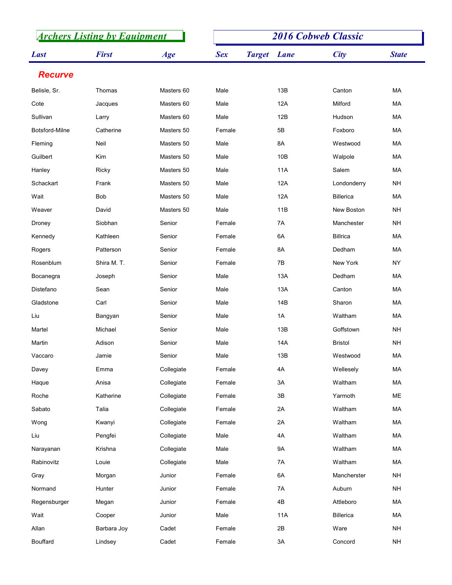|                | <b>Archers Listing by Equipment</b> |            | <b>2016 Cobweb Classic</b> |                    |                |                 |  |
|----------------|-------------------------------------|------------|----------------------------|--------------------|----------------|-----------------|--|
| <b>Last</b>    | <b>First</b>                        | Age        | <b>Sex</b>                 | <b>Target</b> Lane | <b>City</b>    | <b>State</b>    |  |
| <b>Recurve</b> |                                     |            |                            |                    |                |                 |  |
| Belisle, Sr.   | Thomas                              | Masters 60 | Male                       | 13B                | Canton         | MA              |  |
| Cote           | Jacques                             | Masters 60 | Male                       | 12A                | Milford        | MA              |  |
| Sullivan       | Larry                               | Masters 60 | Male                       | 12B                | Hudson         | MA              |  |
| Botsford-Milne | Catherine                           | Masters 50 | Female                     | 5B                 | Foxboro        | MA              |  |
| Fleming        | Neil                                | Masters 50 | Male                       | 8A                 | Westwood       | MA              |  |
| Guilbert       | Kim                                 | Masters 50 | Male                       | 10B                | Walpole        | MA              |  |
| Hanley         | Ricky                               | Masters 50 | Male                       | 11A                | Salem          | MA              |  |
| Schackart      | Frank                               | Masters 50 | Male                       | 12A                | Londonderry    | <b>NH</b>       |  |
| Wait           | Bob                                 | Masters 50 | Male                       | 12A                | Billerica      | МA              |  |
| Weaver         | David                               | Masters 50 | Male                       | 11B                | New Boston     | $\mathsf{NH}\,$ |  |
| Droney         | Siobhan                             | Senior     | Female                     | 7A                 | Manchester     | $\mathsf{NH}\,$ |  |
| Kennedy        | Kathleen                            | Senior     | Female                     | 6A                 | Billrica       | MA              |  |
| Rogers         | Patterson                           | Senior     | Female                     | 8A                 | Dedham         | MA              |  |
| Rosenblum      | Shira M.T.                          | Senior     | Female                     | 7B                 | New York       | ${\sf NY}$      |  |
| Bocanegra      | Joseph                              | Senior     | Male                       | 13A                | Dedham         | ${\sf MA}$      |  |
| Distefano      | Sean                                | Senior     | Male                       | 13A                | Canton         | MA              |  |
| Gladstone      | Carl                                | Senior     | Male                       | 14B                | Sharon         | MA              |  |
| Liu            | Bangyan                             | Senior     | Male                       | 1A                 | Waltham        | MA              |  |
| Martel         | Michael                             | Senior     | Male                       | 13B                | Goffstown      | $\mathsf{NH}\,$ |  |
| Martin         | Adison                              | Senior     | Male                       | 14A                | <b>Bristol</b> | $\mathsf{NH}\,$ |  |
| Vaccaro        | Jamie                               | Senior     | Male                       | 13B                | Westwood       | ${\sf MA}$      |  |
| Davey          | Emma                                | Collegiate | Female                     | 4A                 | Wellesely      | MA              |  |
| Haque          | Anisa                               | Collegiate | Female                     | $3A$               | Waltham        | MA              |  |
| Roche          | Katherine                           | Collegiate | Female                     | $3\mathsf{B}$      | Yarmoth        | $\mathsf{ME}$   |  |
| Sabato         | Talia                               | Collegiate | Female                     | 2A                 | Waltham        | ${\sf MA}$      |  |
| Wong           | Kwanyi                              | Collegiate | Female                     | 2A                 | Waltham        | MA              |  |
| Liu            | Pengfei                             | Collegiate | Male                       | $4A$               | Waltham        | MA              |  |
| Narayanan      | Krishna                             | Collegiate | Male                       | <b>9A</b>          | Waltham        | MA              |  |
| Rabinovitz     | Louie                               | Collegiate | Male                       | 7A                 | Waltham        | MA              |  |
| Gray           | Morgan                              | Junior     | Female                     | 6A                 | Mancherster    | <b>NH</b>       |  |
| Normand        | Hunter                              | Junior     | Female                     | 7A                 | Auburn         | $\mathsf{NH}\,$ |  |
| Regensburger   | Megan                               | Junior     | Female                     | $4\mathsf{B}$      | Attleboro      | MA              |  |
| Wait           | Cooper                              | Junior     | Male                       | 11A                | Billerica      | MA              |  |
| Allan          | Barbara Joy                         | Cadet      | Female                     | 2B                 | Ware           | NH              |  |
| Bouffard       | Lindsey                             | Cadet      | Female                     | $3A$               | Concord        | $\mathsf{NH}\,$ |  |